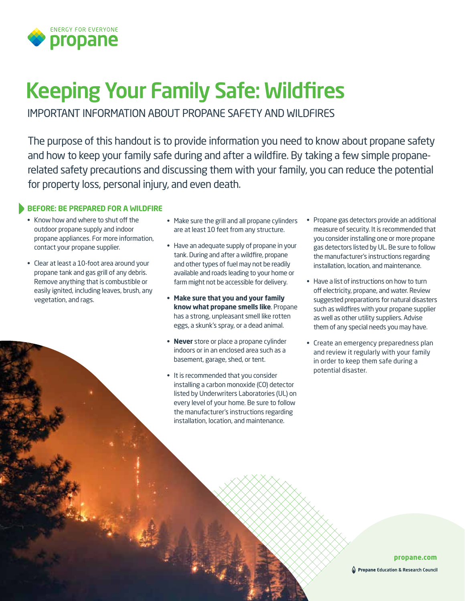

# Keeping Your Family Safe: Wildfires

IMPORTANT INFORMATION ABOUT PROPANE SAFETY AND WILDFIRES

The purpose of this handout is to provide information you need to know about propane safety and how to keep your family safe during and after a wildfire. By taking a few simple propanerelated safety precautions and discussing them with your family, you can reduce the potential for property loss, personal injury, and even death.

# **BEFORE: BE PREPARED FOR A WILDFIRE**

- Know how and where to shut off the outdoor propane supply and indoor propane appliances. For more information, contact your propane supplier.
- Clear at least a 10-foot area around your propane tank and gas grill of any debris. Remove anything that is combustible or easily ignited, including leaves, brush, any vegetation, and rags.
- Make sure the grill and all propane cylinders are at least 10 feet from any structure.
- Have an adequate supply of propane in your tank. During and after a wildfire, propane and other types of fuel may not be readily available and roads leading to your home or farm might not be accessible for delivery.
- **• Make sure that you and your family know what propane smells like**. Propane has a strong, unpleasant smell like rotten eggs, a skunk's spray, or a dead animal.
- **• Never** store or place a propane cylinder indoors or in an enclosed area such as a basement, garage, shed, or tent.
- It is recommended that you consider installing a carbon monoxide (CO) detector listed by Underwriters Laboratories (UL) on every level of your home. Be sure to follow the manufacturer's instructions regarding installation, location, and maintenance.
- Propane gas detectors provide an additional measure of security. It is recommended that you consider installing one or more propane gas detectors listed by UL. Be sure to follow the manufacturer's instructions regarding installation, location, and maintenance.
- Have a list of instructions on how to turn off electricity, propane, and water. Review suggested preparations for natural disasters such as wildfires with your propane supplier as well as other utility suppliers. Advise them of any special needs you may have.
- Create an emergency preparedness plan and review it regularly with your family in order to keep them safe during a potential disaster.

# **propane.com**